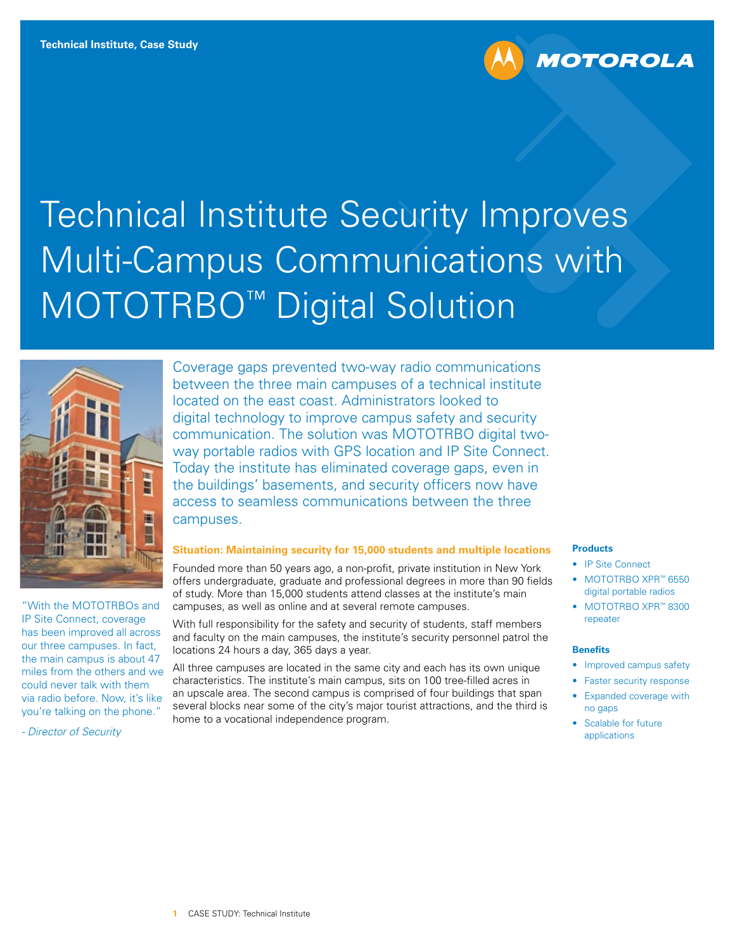



"With the MOTOTRBOs and IP Site Connect, coverage has been improved all across our three campuses. In fact, the main campus is about 47 miles from the others and we could never talk with them via radio before. Now, it's like you're talking on the phone."

*- Director of Security* 

Coverage gaps prevented two-way radio communications between the three main campuses of a technical institute located on the east coast. Administrators looked to digital technology to improve campus safety and security communication. The solution was MOTOTRBO digital twoway portable radios with GPS location and IP Site Connect. Today the institute has eliminated coverage gaps, even in the buildings' basements, and security officers now have access to seamless communications between the three campuses.

### **Situation: Maintaining security for 15,000 students and multiple locations**

Founded more than 50 years ago, a non-profit, private institution in New York offers undergraduate, graduate and professional degrees in more than 90 fields of study. More than 15,000 students attend classes at the institute's main campuses, as well as online and at several remote campuses.

With full responsibility for the safety and security of students, staff members and faculty on the main campuses, the institute's security personnel patrol the locations 24 hours a day, 365 days a year.

All three campuses are located in the same city and each has its own unique characteristics. The institute's main campus, sits on 100 tree-filled acres in an upscale area. The second campus is comprised of four buildings that span several blocks near some of the city's major tourist attractions, and the third is home to a vocational independence program.

## **Products**

• IP Site Connect

**MOTOROLA** 

- MOTOTRBO XPR™ 6550 digital portable radios
- MOTOTRBO XPR™ 8300 repeater

#### **Benefits**

- Improved campus safety
- Faster security response
- Expanded coverage with no gaps
- Scalable for future applications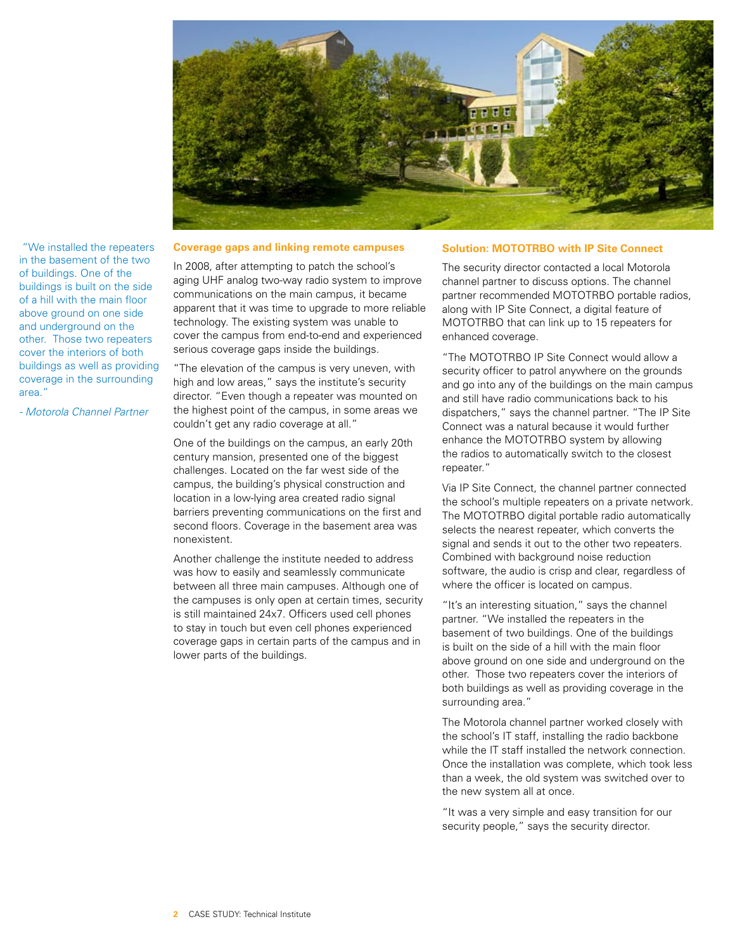

 "We installed the repeaters in the basement of the two of buildings. One of the buildings is built on the side of a hill with the main floor above ground on one side and underground on the other. Those two repeaters cover the interiors of both buildings as well as providing coverage in the surrounding area."

*- Motorola Channel Partner*

#### **Coverage gaps and linking remote campuses**

In 2008, after attempting to patch the school's aging UHF analog two-way radio system to improve communications on the main campus, it became apparent that it was time to upgrade to more reliable technology. The existing system was unable to cover the campus from end-to-end and experienced serious coverage gaps inside the buildings.

"The elevation of the campus is very uneven, with high and low areas," says the institute's security director. "Even though a repeater was mounted on the highest point of the campus, in some areas we couldn't get any radio coverage at all."

One of the buildings on the campus, an early 20th century mansion, presented one of the biggest challenges. Located on the far west side of the campus, the building's physical construction and location in a low-lying area created radio signal barriers preventing communications on the first and second floors. Coverage in the basement area was nonexistent.

Another challenge the institute needed to address was how to easily and seamlessly communicate between all three main campuses. Although one of the campuses is only open at certain times, security is still maintained 24x7. Officers used cell phones to stay in touch but even cell phones experienced coverage gaps in certain parts of the campus and in lower parts of the buildings.

## **Solution: MOTOTRBO with IP Site Connect**

The security director contacted a local Motorola channel partner to discuss options. The channel partner recommended MOTOTRBO portable radios, along with IP Site Connect, a digital feature of MOTOTRBO that can link up to 15 repeaters for enhanced coverage.

"The MOTOTRBO IP Site Connect would allow a security officer to patrol anywhere on the grounds and go into any of the buildings on the main campus and still have radio communications back to his dispatchers," says the channel partner. "The IP Site Connect was a natural because it would further enhance the MOTOTRBO system by allowing the radios to automatically switch to the closest repeater."

Via IP Site Connect, the channel partner connected the school's multiple repeaters on a private network. The MOTOTRBO digital portable radio automatically selects the nearest repeater, which converts the signal and sends it out to the other two repeaters. Combined with background noise reduction software, the audio is crisp and clear, regardless of where the officer is located on campus.

"It's an interesting situation," says the channel partner. "We installed the repeaters in the basement of two buildings. One of the buildings is built on the side of a hill with the main floor above ground on one side and underground on the other. Those two repeaters cover the interiors of both buildings as well as providing coverage in the surrounding area."

The Motorola channel partner worked closely with the school's IT staff, installing the radio backbone while the IT staff installed the network connection. Once the installation was complete, which took less than a week, the old system was switched over to the new system all at once.

"It was a very simple and easy transition for our security people," says the security director.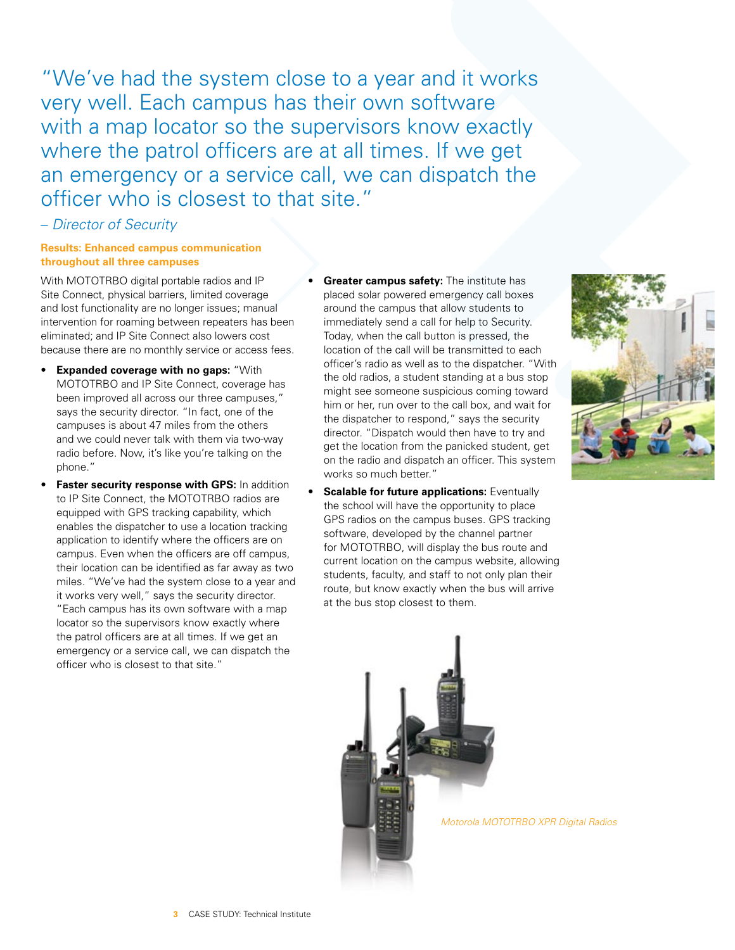"We've had the system close to a year and it works very well. Each campus has their own software with a map locator so the supervisors know exactly where the patrol officers are at all times. If we get an emergency or a service call, we can dispatch the officer who is closest to that site."

# – *Director of Security*

## **Results: Enhanced campus communication throughout all three campuses**

With MOTOTRBO digital portable radios and IP Site Connect, physical barriers, limited coverage and lost functionality are no longer issues; manual intervention for roaming between repeaters has been eliminated; and IP Site Connect also lowers cost because there are no monthly service or access fees.

- **Expanded coverage with no gaps:** "With MOTOTRBO and IP Site Connect, coverage has been improved all across our three campuses," says the security director. "In fact, one of the campuses is about 47 miles from the others and we could never talk with them via two-way radio before. Now, it's like you're talking on the phone."
- **Faster security response with GPS: In addition** to IP Site Connect, the MOTOTRBO radios are equipped with GPS tracking capability, which enables the dispatcher to use a location tracking application to identify where the officers are on campus. Even when the officers are off campus, their location can be identified as far away as two miles. "We've had the system close to a year and it works very well," says the security director. "Each campus has its own software with a map locator so the supervisors know exactly where the patrol officers are at all times. If we get an emergency or a service call, we can dispatch the officer who is closest to that site."
- **Greater campus safety:** The institute has placed solar powered emergency call boxes around the campus that allow students to immediately send a call for help to Security. Today, when the call button is pressed, the location of the call will be transmitted to each officer's radio as well as to the dispatcher. "With the old radios, a student standing at a bus stop might see someone suspicious coming toward him or her, run over to the call box, and wait for the dispatcher to respond," says the security director. "Dispatch would then have to try and get the location from the panicked student, get on the radio and dispatch an officer. This system works so much better."
- **Scalable for future applications: Eventually** the school will have the opportunity to place GPS radios on the campus buses. GPS tracking software, developed by the channel partner for MOTOTRBO, will display the bus route and current location on the campus website, allowing students, faculty, and staff to not only plan their route, but know exactly when the bus will arrive at the bus stop closest to them.